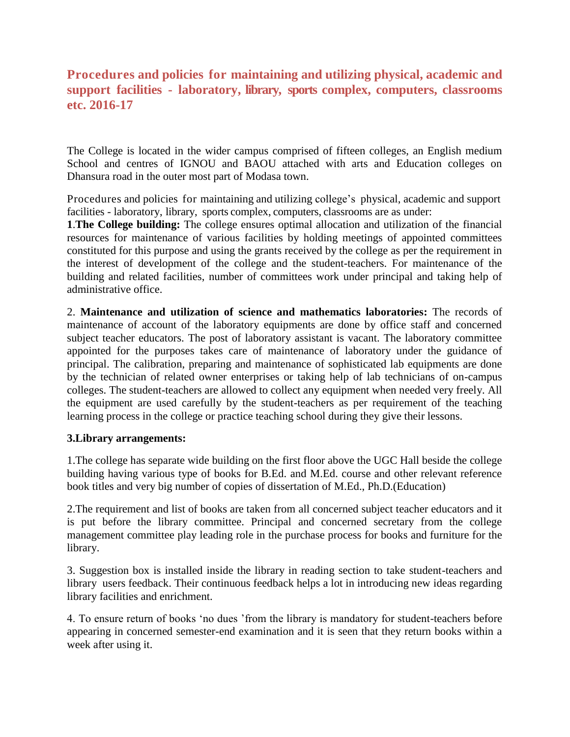## **Procedures and policies for maintaining and utilizing physical, academic and support facilities - laboratory, library, sports complex, computers, classrooms etc. 2016-17**

The College is located in the wider campus comprised of fifteen colleges, an English medium School and centres of IGNOU and BAOU attached with arts and Education colleges on Dhansura road in the outer most part of Modasa town.

Procedures and policies for maintaining and utilizing college's physical, academic and support facilities - laboratory, library, sports complex, computers, classrooms are as under:

**1**.**The College building:** The college ensures optimal allocation and utilization of the financial resources for maintenance of various facilities by holding meetings of appointed committees constituted for this purpose and using the grants received by the college as per the requirement in the interest of development of the college and the student-teachers. For maintenance of the building and related facilities, number of committees work under principal and taking help of administrative office.

2. **Maintenance and utilization of science and mathematics laboratories:** The records of maintenance of account of the laboratory equipments are done by office staff and concerned subject teacher educators. The post of laboratory assistant is vacant. The laboratory committee appointed for the purposes takes care of maintenance of laboratory under the guidance of principal. The calibration, preparing and maintenance of sophisticated lab equipments are done by the technician of related owner enterprises or taking help of lab technicians of on-campus colleges. The student-teachers are allowed to collect any equipment when needed very freely. All the equipment are used carefully by the student-teachers as per requirement of the teaching learning process in the college or practice teaching school during they give their lessons.

## **3.Library arrangements:**

1.The college has separate wide building on the first floor above the UGC Hall beside the college building having various type of books for B.Ed. and M.Ed. course and other relevant reference book titles and very big number of copies of dissertation of M.Ed., Ph.D.(Education)

2.The requirement and list of books are taken from all concerned subject teacher educators and it is put before the library committee. Principal and concerned secretary from the college management committee play leading role in the purchase process for books and furniture for the library.

3. Suggestion box is installed inside the library in reading section to take student-teachers and library users feedback. Their continuous feedback helps a lot in introducing new ideas regarding library facilities and enrichment.

4. To ensure return of books 'no dues 'from the library is mandatory for student-teachers before appearing in concerned semester-end examination and it is seen that they return books within a week after using it.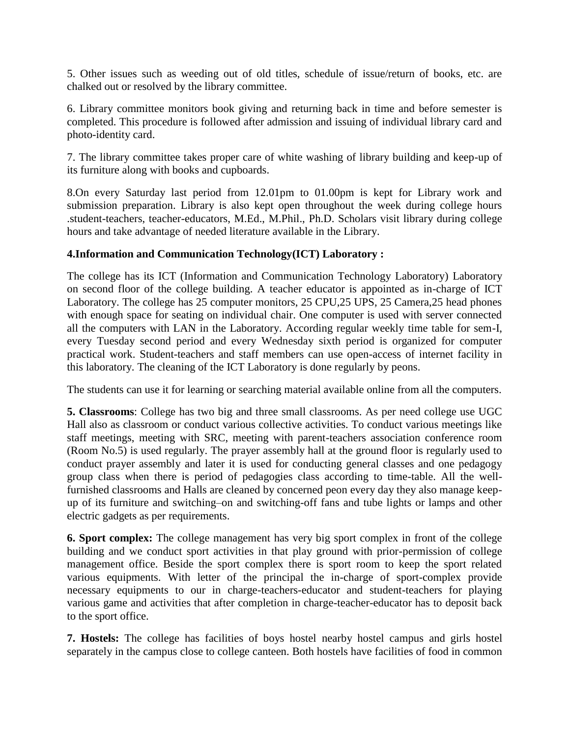5. Other issues such as weeding out of old titles, schedule of issue/return of books, etc. are chalked out or resolved by the library committee.

6. Library committee monitors book giving and returning back in time and before semester is completed. This procedure is followed after admission and issuing of individual library card and photo-identity card.

7. The library committee takes proper care of white washing of library building and keep-up of its furniture along with books and cupboards.

8.On every Saturday last period from 12.01pm to 01.00pm is kept for Library work and submission preparation. Library is also kept open throughout the week during college hours .student-teachers, teacher-educators, M.Ed., M.Phil., Ph.D. Scholars visit library during college hours and take advantage of needed literature available in the Library.

## **4.Information and Communication Technology(ICT) Laboratory :**

The college has its ICT (Information and Communication Technology Laboratory) Laboratory on second floor of the college building. A teacher educator is appointed as in-charge of ICT Laboratory. The college has 25 computer monitors, 25 CPU,25 UPS, 25 Camera,25 head phones with enough space for seating on individual chair. One computer is used with server connected all the computers with LAN in the Laboratory. According regular weekly time table for sem-I, every Tuesday second period and every Wednesday sixth period is organized for computer practical work. Student-teachers and staff members can use open-access of internet facility in this laboratory. The cleaning of the ICT Laboratory is done regularly by peons.

The students can use it for learning or searching material available online from all the computers.

**5. Classrooms**: College has two big and three small classrooms. As per need college use UGC Hall also as classroom or conduct various collective activities. To conduct various meetings like staff meetings, meeting with SRC, meeting with parent-teachers association conference room (Room No.5) is used regularly. The prayer assembly hall at the ground floor is regularly used to conduct prayer assembly and later it is used for conducting general classes and one pedagogy group class when there is period of pedagogies class according to time-table. All the wellfurnished classrooms and Halls are cleaned by concerned peon every day they also manage keepup of its furniture and switching–on and switching-off fans and tube lights or lamps and other electric gadgets as per requirements.

**6. Sport complex:** The college management has very big sport complex in front of the college building and we conduct sport activities in that play ground with prior-permission of college management office. Beside the sport complex there is sport room to keep the sport related various equipments. With letter of the principal the in-charge of sport-complex provide necessary equipments to our in charge-teachers-educator and student-teachers for playing various game and activities that after completion in charge-teacher-educator has to deposit back to the sport office.

**7. Hostels:** The college has facilities of boys hostel nearby hostel campus and girls hostel separately in the campus close to college canteen. Both hostels have facilities of food in common